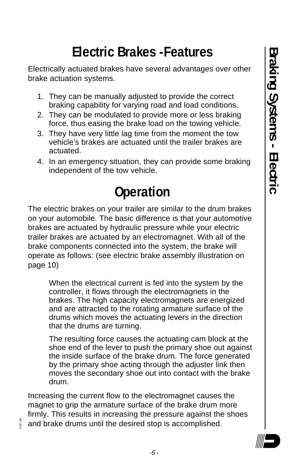# **Electric Brakes -Features**

Electrically actuated brakes have several advantages over other brake actuation systems.

- 1. They can be manually adjusted to provide the correct braking capability for varying road and load conditions.
- 2. They can be modulated to provide more or less braking force, thus easing the brake load on the towing vehicle.
- 3. They have very little lag time from the moment the tow vehicle's brakes are actuated until the trailer brakes are actuated.
- 4. In an emergency situation, they can provide some braking independent of the tow vehicle.

# **Operation**

The electric brakes on your trailer are similar to the drum brakes on your automobile. The basic difference is that your automotive brakes are actuated by hydraulic pressure while your electric trailer brakes are actuated by an electromagnet. With all of the brake components connected into the system, the brake will operate as follows: (see electric brake assembly illustration on page 10)

When the electrical current is fed into the system by the controller, it flows through the electromagnets in the brakes. The high capacity electromagnets are energized and are attracted to the rotating armature surface of the drums which moves the actuating levers in the direction that the drums are turning.

The resulting force causes the actuating cam block at the shoe end of the lever to push the primary shoe out against the inside surface of the brake drum. The force generated by the primary shoe acting through the adjuster link then moves the secondary shoe out into contact with the brake drum.

Increasing the current flow to the electromagnet causes the magnet to grip the armature surface of the brake drum more firmly. This results in increasing the pressure against the shoes and brake drums until the desired stop is accomplished.



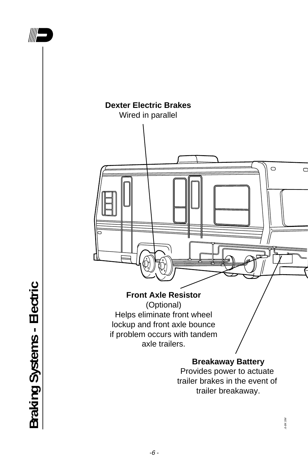

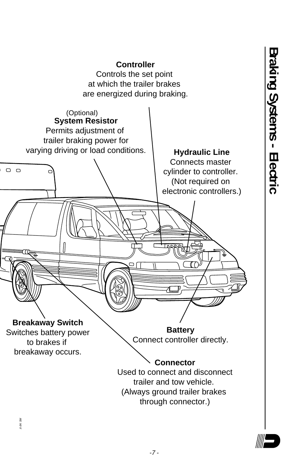

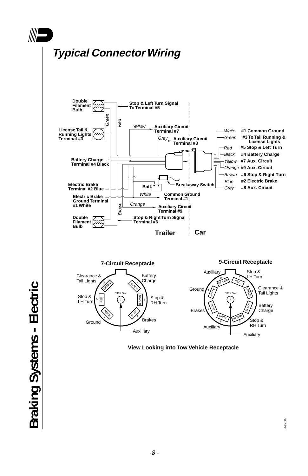

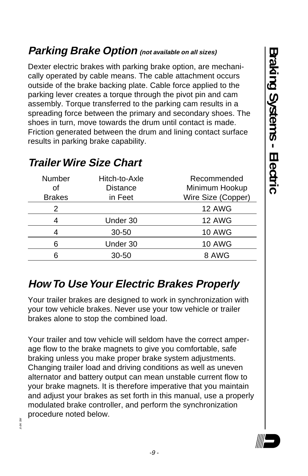### **Parking Brake Option (not available on all sizes)**

Dexter electric brakes with parking brake option, are mechanically operated by cable means. The cable attachment occurs outside of the brake backing plate. Cable force applied to the parking lever creates a torque through the pivot pin and cam assembly. Torque transferred to the parking cam results in a spreading force between the primary and secondary shoes. The shoes in turn, move towards the drum until contact is made. Friction generated between the drum and lining contact surface results in parking brake capability.

| <b>Number</b><br>Ωf<br><b>Brakes</b> | Hitch-to-Axle<br>Distance<br>in Feet | Recommended<br>Minimum Hookup<br>Wire Size (Copper) |
|--------------------------------------|--------------------------------------|-----------------------------------------------------|
| 2                                    |                                      | <b>12 AWG</b>                                       |
|                                      | Under 30                             | <b>12 AWG</b>                                       |
|                                      | $30 - 50$                            | <b>10 AWG</b>                                       |
| 6                                    | Under 30                             | <b>10 AWG</b>                                       |
|                                      | $30 - 50$                            | 8 AWG                                               |

#### **Trailer Wire Size Chart**

.6-8K SM

### **How To Use Your Electric Brakes Properly**

Your trailer brakes are designed to work in synchronization with your tow vehicle brakes. Never use your tow vehicle or trailer brakes alone to stop the combined load.

Your trailer and tow vehicle will seldom have the correct amperage flow to the brake magnets to give you comfortable, safe braking unless you make proper brake system adjustments. Changing trailer load and driving conditions as well as uneven alternator and battery output can mean unstable current flow to your brake magnets. It is therefore imperative that you maintain and adjust your brakes as set forth in this manual, use a properly modulated brake controller, and perform the synchronization procedure noted below.

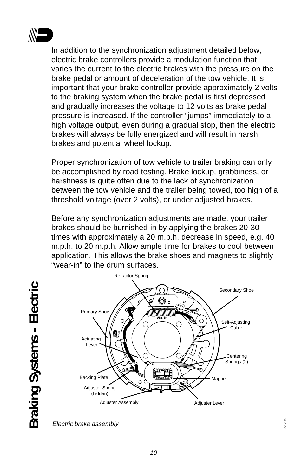

In addition to the synchronization adjustment detailed below, electric brake controllers provide a modulation function that varies the current to the electric brakes with the pressure on the brake pedal or amount of deceleration of the tow vehicle. It is important that your brake controller provide approximately 2 volts to the braking system when the brake pedal is first depressed and gradually increases the voltage to 12 volts as brake pedal pressure is increased. If the controller "jumps" immediately to a high voltage output, even during a gradual stop, then the electric brakes will always be fully energized and will result in harsh brakes and potential wheel lockup.

Proper synchronization of tow vehicle to trailer braking can only be accomplished by road testing. Brake lockup, grabbiness, or harshness is quite often due to the lack of synchronization between the tow vehicle and the trailer being towed, too high of a threshold voltage (over 2 volts), or under adjusted brakes.

Before any synchronization adjustments are made, your trailer brakes should be burnished-in by applying the brakes 20-30 times with approximately a 20 m.p.h. decrease in speed, e.g. 40 m.p.h. to 20 m.p.h. Allow ample time for brakes to cool between application. This allows the brake shoes and magnets to slightly "wear-in" to the drum surfaces.



Electric brake assembly

Braking Systems - Electric **Braking Systems - Electric**

.6-8K SM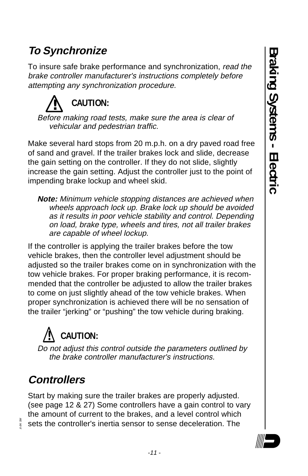### **To Synchronize**

To insure safe brake performance and synchronization, read the brake controller manufacturer's instructions completely before attempting any synchronization procedure.



Make several hard stops from 20 m.p.h. on a dry paved road free of sand and gravel. If the trailer brakes lock and slide, decrease the gain setting on the controller. If they do not slide, slightly increase the gain setting. Adjust the controller just to the point of impending brake lockup and wheel skid.

**Note:** Minimum vehicle stopping distances are achieved when wheels approach lock up. Brake lock up should be avoided as it results in poor vehicle stability and control. Depending on load, brake type, wheels and tires, not all trailer brakes are capable of wheel lockup.

If the controller is applying the trailer brakes before the tow vehicle brakes, then the controller level adjustment should be adjusted so the trailer brakes come on in synchronization with the tow vehicle brakes. For proper braking performance, it is recommended that the controller be adjusted to allow the trailer brakes to come on just slightly ahead of the tow vehicle brakes. When proper synchronization is achieved there will be no sensation of the trailer "jerking" or "pushing" the tow vehicle during braking.

# **! CAUTION:**

Do not adjust this control outside the parameters outlined by the brake controller manufacturer's instructions.

### **Controllers**

Start by making sure the trailer brakes are properly adjusted. (see page 12 & 27) Some controllers have a gain control to vary the amount of current to the brakes, and a level control which sets the controller's inertia sensor to sense deceleration. The



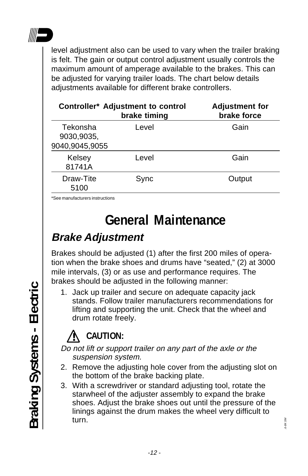

level adjustment also can be used to vary when the trailer braking is felt. The gain or output control adjustment usually controls the maximum amount of amperage available to the brakes. This can be adjusted for varying trailer loads. The chart below details adjustments available for different brake controllers.

| <b>Controller* Adjustment to control</b><br>brake timing | <b>Adjustment for</b><br>brake force |
|----------------------------------------------------------|--------------------------------------|
| Level<br>9040,9045,9055                                  | Gain                                 |
| Level                                                    | Gain                                 |
| Sync                                                     | Output                               |
|                                                          |                                      |

\*See manufacturers instructions

## **General Maintenance**

### **Brake Adjustment**

Brakes should be adjusted (1) after the first 200 miles of operation when the brake shoes and drums have "seated," (2) at 3000 mile intervals, (3) or as use and performance requires. The brakes should be adjusted in the following manner:

1. Jack up trailer and secure on adequate capacity jack stands. Follow trailer manufacturers recommendations for lifting and supporting the unit. Check that the wheel and drum rotate freely.

## **! CAUTION:**

Do not lift or support trailer on any part of the axle or the suspension system.

- 2. Remove the adjusting hole cover from the adjusting slot on the bottom of the brake backing plate.
- 3. With a screwdriver or standard adjusting tool, rotate the starwheel of the adjuster assembly to expand the brake shoes. Adjust the brake shoes out until the pressure of the linings against the drum makes the wheel very difficult to turn.

.6-8K SM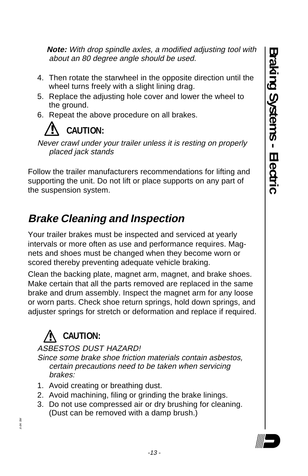**Note:** With drop spindle axles, a modified adjusting tool with about an 80 degree angle should be used.

- 4. Then rotate the starwheel in the opposite direction until the wheel turns freely with a slight lining drag.
- 5. Replace the adjusting hole cover and lower the wheel to the ground.
- 6. Repeat the above procedure on all brakes.



Never crawl under your trailer unless it is resting on properly placed jack stands

Follow the trailer manufacturers recommendations for lifting and supporting the unit. Do not lift or place supports on any part of the suspension system.

### **Brake Cleaning and Inspection**

Your trailer brakes must be inspected and serviced at yearly intervals or more often as use and performance requires. Magnets and shoes must be changed when they become worn or scored thereby preventing adequate vehicle braking.

Clean the backing plate, magnet arm, magnet, and brake shoes. Make certain that all the parts removed are replaced in the same brake and drum assembly. Inspect the magnet arm for any loose or worn parts. Check shoe return springs, hold down springs, and adjuster springs for stretch or deformation and replace if required.

### **! CAUTION:**

#### ASBESTOS DUST HAZARD!

Since some brake shoe friction materials contain asbestos, certain precautions need to be taken when servicing brakes:

- 1. Avoid creating or breathing dust.
- 2. Avoid machining, filing or grinding the brake linings.
- 3. Do not use compressed air or dry brushing for cleaning. (Dust can be removed with a damp brush.)

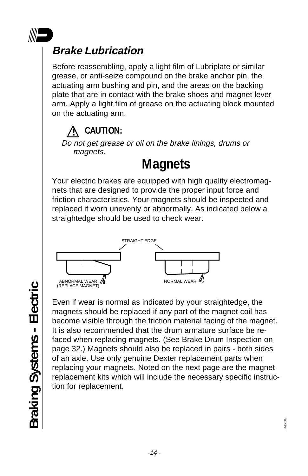

### **Brake Lubrication**

Before reassembling, apply a light film of Lubriplate or similar grease, or anti-seize compound on the brake anchor pin, the actuating arm bushing and pin, and the areas on the backing plate that are in contact with the brake shoes and magnet lever arm. Apply a light film of grease on the actuating block mounted on the actuating arm.

### **! CAUTION:**

Do not get grease or oil on the brake linings, drums or magnets.

# **Magnets**

Your electric brakes are equipped with high quality electromagnets that are designed to provide the proper input force and friction characteristics. Your magnets should be inspected and replaced if worn unevenly or abnormally. As indicated below a straightedge should be used to check wear.



Braking Systems - Electric **Braking Systems - Electric**

Even if wear is normal as indicated by your straightedge, the magnets should be replaced if any part of the magnet coil has become visible through the friction material facing of the magnet. It is also recommended that the drum armature surface be refaced when replacing magnets. (See Brake Drum Inspection on page 32.) Magnets should also be replaced in pairs - both sides of an axle. Use only genuine Dexter replacement parts when replacing your magnets. Noted on the next page are the magnet replacement kits which will include the necessary specific instruction for replacement.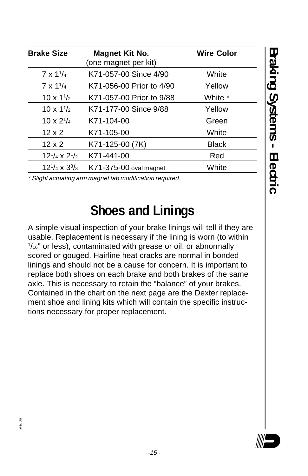| <b>Brake Size</b>         | Magnet Kit No.<br>(one magnet per kit) | <b>Wire Color</b> |
|---------------------------|----------------------------------------|-------------------|
| $7 \times 1^{1/4}$        | K71-057-00 Since 4/90                  | White             |
| $7 \times 1^{1/4}$        | K71-056-00 Prior to 4/90               | Yellow            |
| $10 \times 1\frac{1}{2}$  | K71-057-00 Prior to 9/88               | White *           |
| $10 \times 1\frac{1}{2}$  | K71-177-00 Since 9/88                  | Yellow            |
| $10 \times 2^{1/4}$       | K71-104-00                             | Green             |
| $12 \times 2$             | K71-105-00                             | White             |
| $12 \times 2$             | K71-125-00 (7K)                        | <b>Black</b>      |
| $12^{1/4} \times 2^{1/2}$ | K71-441-00                             | Red               |
| $12^{1/4} \times 3^{3/8}$ | <b>K71-375-00 oval magnet</b>          | White             |

\* Slight actuating arm magnet tab modification required.

### **Shoes and Linings**

A simple visual inspection of your brake linings will tell if they are usable. Replacement is necessary if the lining is worn (to within 1 /16" or less), contaminated with grease or oil, or abnormally scored or gouged. Hairline heat cracks are normal in bonded linings and should not be a cause for concern. It is important to replace both shoes on each brake and both brakes of the same axle. This is necessary to retain the "balance" of your brakes. Contained in the chart on the next page are the Dexter replacement shoe and lining kits which will contain the specific instructions necessary for proper replacement.

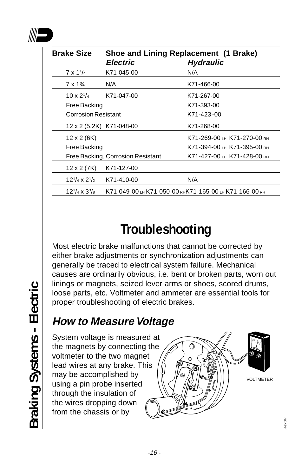

| <b>Brake Size</b>          | <b>Electric</b>                   | Shoe and Lining Replacement (1 Brake)<br><b>Hydraulic</b> |
|----------------------------|-----------------------------------|-----------------------------------------------------------|
| $7 \times 1^{1/4}$         | K71-045-00                        | N/A                                                       |
| $7 \times 1\%$             | N/A                               | K71-466-00                                                |
| $10 \times 2^{1/4}$        | K71-047-00                        | K71-267-00                                                |
| Free Backing               |                                   | K71-393-00                                                |
| <b>Corrosion Resistant</b> |                                   | K71-423-00                                                |
|                            | 12 x 2 (5.2K) K71-048-00          | K71-268-00                                                |
| 12 x 2 (6K)                |                                   | K71-269-00 LH K71-270-00 RH                               |
| Free Backing               |                                   | K71-394-00 LH K71-395-00 RH                               |
|                            | Free Backing, Corrosion Resistant | K71-427-00 LH K71-428-00 RH                               |
| 12 x 2 (7K)                | K71-127-00                        |                                                           |
| $12^{1/4} \times 2^{1/2}$  | K71-410-00                        | N/A                                                       |
| $12^{1/4} \times 3^{3/8}$  |                                   | K71-049-00 LH K71-050-00 RHK71-165-00 LH K71-166-00 RH    |

# **Troubleshooting**

Most electric brake malfunctions that cannot be corrected by either brake adjustments or synchronization adjustments can generally be traced to electrical system failure. Mechanical causes are ordinarily obvious, i.e. bent or broken parts, worn out linings or magnets, seized lever arms or shoes, scored drums, loose parts, etc. Voltmeter and ammeter are essential tools for proper troubleshooting of electric brakes.

### **How to Measure Voltage**

System voltage is measured at the magnets by connecting the voltmeter to the two magnet lead wires at any brake. This may be accomplished by using a pin probe inserted through the insulation of the wires dropping down from the chassis or by



.6-8K SM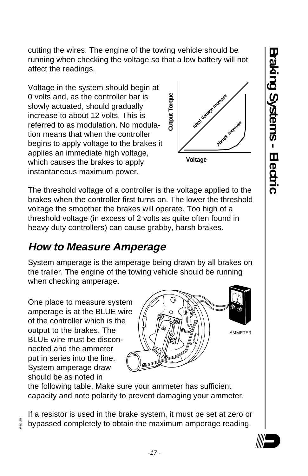**Braking Systems - Electric** Braking Systems - Electric

cutting the wires. The engine of the towing vehicle should be running when checking the voltage so that a low battery will not affect the readings.

Voltage in the system should begin at 0 volts and, as the controller bar is slowly actuated, should gradually increase to about 12 volts. This is referred to as modulation. No modulation means that when the controller begins to apply voltage to the brakes it applies an immediate high voltage, which causes the brakes to apply instantaneous maximum power.



The threshold voltage of a controller is the voltage applied to the brakes when the controller first turns on. The lower the threshold voltage the smoother the brakes will operate. Too high of a threshold voltage (in excess of 2 volts as quite often found in heavy duty controllers) can cause grabby, harsh brakes.

### **How to Measure Amperage**

System amperage is the amperage being drawn by all brakes on the trailer. The engine of the towing vehicle should be running when checking amperage.

One place to measure system amperage is at the BLUE wire of the controller which is the output to the brakes. The BLUE wire must be disconnected and the ammeter put in series into the line. System amperage draw should be as noted in

.6-8K SM



the following table. Make sure your ammeter has sufficient capacity and note polarity to prevent damaging your ammeter.

If a resistor is used in the brake system, it must be set at zero or bypassed completely to obtain the maximum amperage reading.

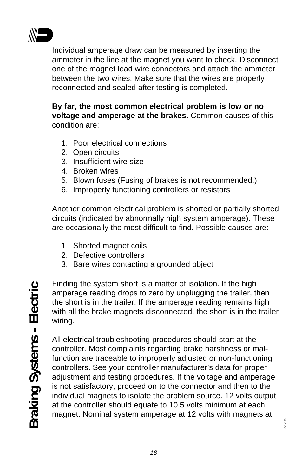

Individual amperage draw can be measured by inserting the ammeter in the line at the magnet you want to check. Disconnect one of the magnet lead wire connectors and attach the ammeter between the two wires. Make sure that the wires are properly reconnected and sealed after testing is completed.

**By far, the most common electrical problem is low or no voltage and amperage at the brakes.** Common causes of this condition are:

- 1. Poor electrical connections
- 2. Open circuits
- 3. Insufficient wire size
- 4. Broken wires
- 5. Blown fuses (Fusing of brakes is not recommended.)
- 6. Improperly functioning controllers or resistors

Another common electrical problem is shorted or partially shorted circuits (indicated by abnormally high system amperage). These are occasionally the most difficult to find. Possible causes are:

- 1 Shorted magnet coils
- 2. Defective controllers
- 3. Bare wires contacting a grounded object

Finding the system short is a matter of isolation. If the high amperage reading drops to zero by unplugging the trailer, then the short is in the trailer. If the amperage reading remains high with all the brake magnets disconnected, the short is in the trailer wiring.

All electrical troubleshooting procedures should start at the controller. Most complaints regarding brake harshness or malfunction are traceable to improperly adjusted or non-functioning controllers. See your controller manufacturer's data for proper adjustment and testing procedures. If the voltage and amperage is not satisfactory, proceed on to the connector and then to the individual magnets to isolate the problem source. 12 volts output at the controller should equate to 10.5 volts minimum at each magnet. Nominal system amperage at 12 volts with magnets at

.6-8K SM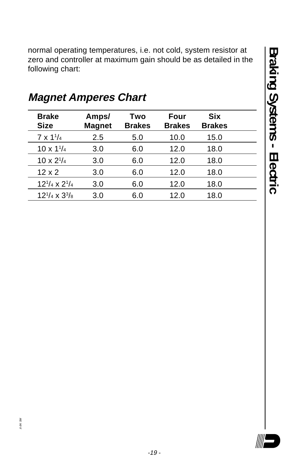normal operating temperatures, i.e. not cold, system resistor at zero and controller at maximum gain should be as detailed in the following chart:

| <b>Brake</b><br><b>Size</b> | Amps/<br><b>Magnet</b> | Two<br><b>Brakes</b> | Four<br><b>Brakes</b> | <b>Six</b><br><b>Brakes</b> |
|-----------------------------|------------------------|----------------------|-----------------------|-----------------------------|
| $7 \times 1^{1/4}$          | 2.5                    | 5.0                  | 10.0                  | 15.0                        |
| $10 \times 1^{1/4}$         | 3.0                    | 6.0                  | 12.0                  | 18.0                        |
| $10 \times 2^{1/4}$         | 3.0                    | 6.0                  | 12.0                  | 18.0                        |
| $12 \times 2$               | 3.0                    | 6.0                  | 12.0                  | 18.0                        |
| $12^{1/4} \times 2^{1/4}$   | 3.0                    | 6.0                  | 12.0                  | 18.0                        |
| $12^{1/4} \times 3^{3/8}$   | 3.0                    | 6.0                  | 12.0                  | 18.0                        |

### **Magnet Amperes Chart**

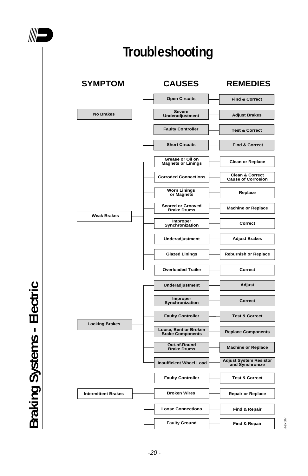

# **Troubleshooting**